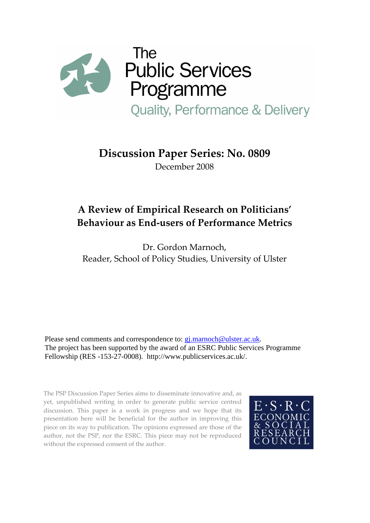

# Discussion Paper Series: No. 0809

December 2008

# A Review of Empirical Research on Politicians' Behaviour as End-users of Performance Metrics

Dr. Gordon Marnoch, Reader, School of Policy Studies, University of Ulster

Please send comments and correspondence to: gj.marnoch@ulster.ac.uk. The project has been supported by the award of an ESRC Public Services Programme Fellowship (RES -153-27-0008). http://www.publicservices.ac.uk/.

The PSP Discussion Paper Series aims to disseminate innovative and, as yet, unpublished writing in order to generate public service centred discussion. This paper is a work in progress and we hope that its presentation here will be beneficial for the author in improving this piece on its way to publication. The opinions expressed are those of the author, not the PSP, nor the ESRC. This piece may not be reproduced without the expressed consent of the author.

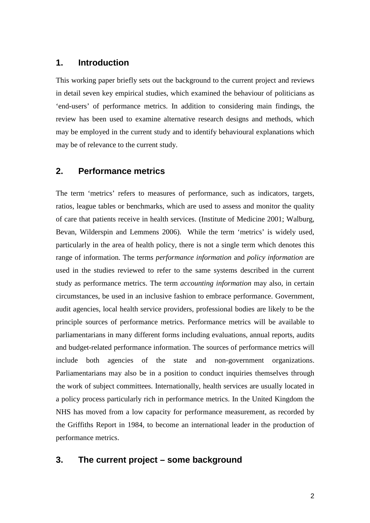## **1. Introduction**

This working paper briefly sets out the background to the current project and reviews in detail seven key empirical studies, which examined the behaviour of politicians as 'end-users' of performance metrics. In addition to considering main findings, the review has been used to examine alternative research designs and methods, which may be employed in the current study and to identify behavioural explanations which may be of relevance to the current study.

## **2. Performance metrics**

The term 'metrics' refers to measures of performance, such as indicators, targets, ratios, league tables or benchmarks, which are used to assess and monitor the quality of care that patients receive in health services. (Institute of Medicine 2001; Walburg, Bevan, Wilderspin and Lemmens 2006). While the term 'metrics' is widely used, particularly in the area of health policy, there is not a single term which denotes this range of information. The terms *performance information* and *policy information* are used in the studies reviewed to refer to the same systems described in the current study as performance metrics. The term *accounting information* may also, in certain circumstances, be used in an inclusive fashion to embrace performance. Government, audit agencies, local health service providers, professional bodies are likely to be the principle sources of performance metrics. Performance metrics will be available to parliamentarians in many different forms including evaluations, annual reports, audits and budget-related performance information. The sources of performance metrics will include both agencies of the state and non-government organizations. Parliamentarians may also be in a position to conduct inquiries themselves through the work of subject committees. Internationally, health services are usually located in a policy process particularly rich in performance metrics. In the United Kingdom the NHS has moved from a low capacity for performance measurement, as recorded by the Griffiths Report in 1984, to become an international leader in the production of performance metrics.

## **3. The current project – some background**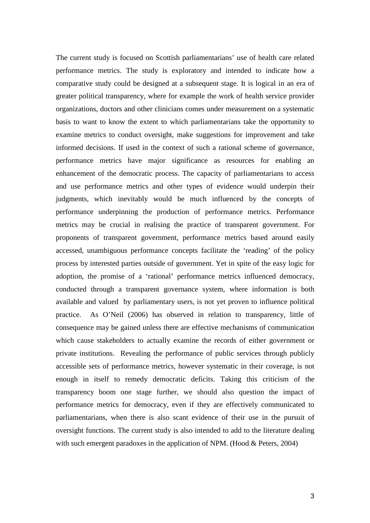The current study is focused on Scottish parliamentarians' use of health care related performance metrics. The study is exploratory and intended to indicate how a comparative study could be designed at a subsequent stage. It is logical in an era of greater political transparency, where for example the work of health service provider organizations, doctors and other clinicians comes under measurement on a systematic basis to want to know the extent to which parliamentarians take the opportunity to examine metrics to conduct oversight, make suggestions for improvement and take informed decisions. If used in the context of such a rational scheme of governance, performance metrics have major significance as resources for enabling an enhancement of the democratic process. The capacity of parliamentarians to access and use performance metrics and other types of evidence would underpin their judgments, which inevitably would be much influenced by the concepts of performance underpinning the production of performance metrics. Performance metrics may be crucial in realising the practice of transparent government. For proponents of transparent government, performance metrics based around easily accessed, unambiguous performance concepts facilitate the 'reading' of the policy process by interested parties outside of government. Yet in spite of the easy logic for adoption, the promise of a 'rational' performance metrics influenced democracy, conducted through a transparent governance system, where information is both available and valued by parliamentary users, is not yet proven to influence political practice. As O'Neil (2006) has observed in relation to transparency, little of consequence may be gained unless there are effective mechanisms of communication which cause stakeholders to actually examine the records of either government or private institutions. Revealing the performance of public services through publicly accessible sets of performance metrics, however systematic in their coverage, is not enough in itself to remedy democratic deficits. Taking this criticism of the transparency boom one stage further, we should also question the impact of performance metrics for democracy, even if they are effectively communicated to parliamentarians, when there is also scant evidence of their use in the pursuit of oversight functions. The current study is also intended to add to the literature dealing with such emergent paradoxes in the application of NPM. (Hood & Peters, 2004)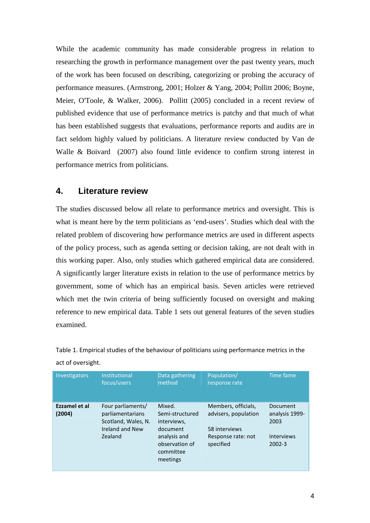While the academic community has made considerable progress in relation to researching the growth in performance management over the past twenty years, much of the work has been focused on describing, categorizing or probing the accuracy of performance measures. (Armstrong, 2001; Holzer & Yang, 2004; Pollitt 2006; Boyne, Meier, O'Toole, & Walker, 2006). Pollitt (2005) concluded in a recent review of published evidence that use of performance metrics is patchy and that much of what has been established suggests that evaluations, performance reports and audits are in fact seldom highly valued by politicians. A literature review conducted by Van de Walle & Boivard (2007) also found little evidence to confirm strong interest in performance metrics from politicians.

### **4. Literature review**

The studies discussed below all relate to performance metrics and oversight. This is what is meant here by the term politicians as 'end-users'. Studies which deal with the related problem of discovering how performance metrics are used in different aspects of the policy process, such as agenda setting or decision taking, are not dealt with in this working paper. Also, only studies which gathered empirical data are considered. A significantly larger literature exists in relation to the use of performance metrics by government, some of which has an empirical basis. Seven articles were retrieved which met the twin criteria of being sufficiently focused on oversight and making reference to new empirical data. Table 1 sets out general features of the seven studies examined.

| Investigators           | <b>Institutional</b><br>focus/users                                                        | Data gathering<br>method                                                                                        | Population/<br>response rate                                                                    | Time fame                                                             |
|-------------------------|--------------------------------------------------------------------------------------------|-----------------------------------------------------------------------------------------------------------------|-------------------------------------------------------------------------------------------------|-----------------------------------------------------------------------|
| Ezzamel et al<br>(2004) | Four parliaments/<br>parliamentarians<br>Scotland, Wales, N.<br>Ireland and New<br>Zealand | Mixed.<br>Semi-structured<br>interviews,<br>document<br>analysis and<br>observation of<br>committee<br>meetings | Members, officials,<br>advisers, population<br>58 interviews<br>Response rate: not<br>specified | Document<br>analysis 1999-<br>2003<br><b>Interviews</b><br>$2002 - 3$ |

Table 1. Empirical studies of the behaviour of politicians using performance metrics in the act of oversight.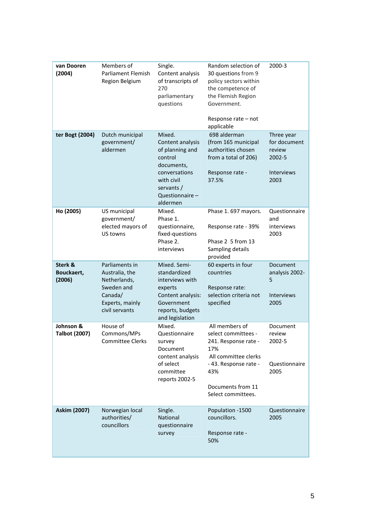| van Dooren<br>(2004)              | Members of<br>Parliament Flemish<br>Region Belgium                                                             | Single.<br>Content analysis<br>of transcripts of<br>270<br>parliamentary<br>questions                                                              | Random selection of<br>30 questions from 9<br>policy sectors within<br>the competence of<br>the Flemish Region<br>Government.<br>Response rate - not<br>applicable     | 2000-3                                                               |
|-----------------------------------|----------------------------------------------------------------------------------------------------------------|----------------------------------------------------------------------------------------------------------------------------------------------------|------------------------------------------------------------------------------------------------------------------------------------------------------------------------|----------------------------------------------------------------------|
| ter Bogt (2004)                   | Dutch municipal<br>government/<br>aldermen                                                                     | Mixed.<br>Content analysis<br>of planning and<br>control<br>documents,<br>conversations<br>with civil<br>servants /<br>Questionnaire -<br>aldermen | 698 alderman<br>(from 165 municipal<br>authorities chosen<br>from a total of 206)<br>Response rate -<br>37.5%                                                          | Three year<br>for document<br>review<br>2002-5<br>Interviews<br>2003 |
| Ho (2005)                         | US municipal<br>government/<br>elected mayors of<br>US towns                                                   | Mixed.<br>Phase 1.<br>questionnaire,<br>fixed-questions<br>Phase 2.<br>interviews                                                                  | Phase 1.697 mayors.<br>Response rate - 39%<br>Phase 2 5 from 13<br>Sampling details<br>provided                                                                        | Questionnaire<br>and<br>interviews<br>2003                           |
| Sterk &<br>Bouckaert,<br>(2006)   | Parliaments in<br>Australia, the<br>Netherlands,<br>Sweden and<br>Canada/<br>Experts, mainly<br>civil servants | Mixed. Semi-<br>standardized<br>interviews with<br>experts<br>Content analysis:<br>Government<br>reports, budgets<br>and legislation               | 60 experts in four<br>countries<br>Response rate:<br>selection criteria not<br>specified                                                                               | Document<br>analysis 2002-<br>5<br><b>Interviews</b><br>2005         |
| Johnson &<br><b>Talbot (2007)</b> | House of<br>Commons/MPs<br><b>Committee Clerks</b>                                                             | Mixed.<br>Questionnaire<br>survey<br>Document<br>content analysis<br>of select<br>committee<br>reports 2002-5                                      | All members of<br>select committees -<br>241. Response rate -<br>17%<br>All committee clerks<br>-43. Response rate -<br>43%<br>Documents from 11<br>Select committees. | Document<br>review<br>2002-5<br>Questionnaire<br>2005                |
| <b>Askim (2007)</b>               | Norwegian local<br>authorities/<br>councillors                                                                 | Single.<br>National<br>questionnaire<br>survey                                                                                                     | Population -1500<br>councillors.<br>Response rate -<br>50%                                                                                                             | Questionnaire<br>2005                                                |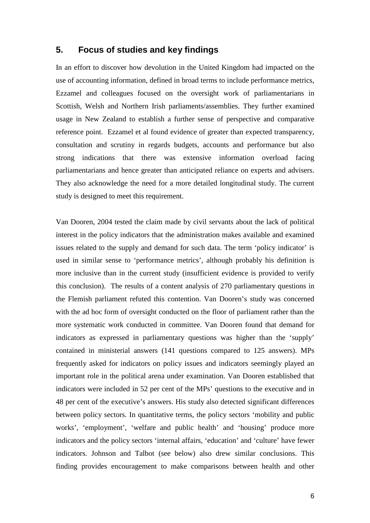## **5. Focus of studies and key findings**

In an effort to discover how devolution in the United Kingdom had impacted on the use of accounting information, defined in broad terms to include performance metrics, Ezzamel and colleagues focused on the oversight work of parliamentarians in Scottish, Welsh and Northern Irish parliaments/assemblies. They further examined usage in New Zealand to establish a further sense of perspective and comparative reference point. Ezzamel et al found evidence of greater than expected transparency, consultation and scrutiny in regards budgets, accounts and performance but also strong indications that there was extensive information overload facing parliamentarians and hence greater than anticipated reliance on experts and advisers. They also acknowledge the need for a more detailed longitudinal study. The current study is designed to meet this requirement.

Van Dooren, 2004 tested the claim made by civil servants about the lack of political interest in the policy indicators that the administration makes available and examined issues related to the supply and demand for such data. The term 'policy indicator' is used in similar sense to 'performance metrics', although probably his definition is more inclusive than in the current study (insufficient evidence is provided to verify this conclusion). The results of a content analysis of 270 parliamentary questions in the Flemish parliament refuted this contention. Van Dooren's study was concerned with the ad hoc form of oversight conducted on the floor of parliament rather than the more systematic work conducted in committee. Van Dooren found that demand for indicators as expressed in parliamentary questions was higher than the 'supply' contained in ministerial answers (141 questions compared to 125 answers). MPs frequently asked for indicators on policy issues and indicators seemingly played an important role in the political arena under examination. Van Dooren established that indicators were included in 52 per cent of the MPs' questions to the executive and in 48 per cent of the executive's answers. His study also detected significant differences between policy sectors. In quantitative terms, the policy sectors 'mobility and public works', 'employment', 'welfare and public health' and 'housing' produce more indicators and the policy sectors 'internal affairs, 'education' and 'culture' have fewer indicators. Johnson and Talbot (see below) also drew similar conclusions. This finding provides encouragement to make comparisons between health and other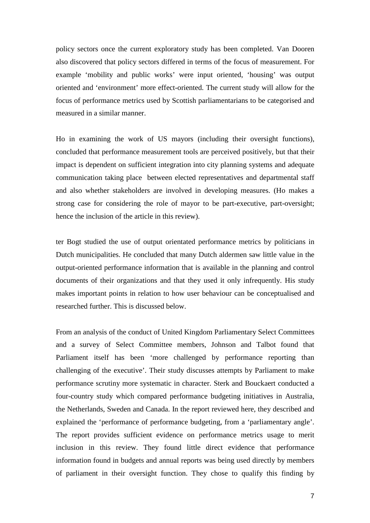policy sectors once the current exploratory study has been completed. Van Dooren also discovered that policy sectors differed in terms of the focus of measurement. For example 'mobility and public works' were input oriented, 'housing' was output oriented and 'environment' more effect-oriented. The current study will allow for the focus of performance metrics used by Scottish parliamentarians to be categorised and measured in a similar manner.

Ho in examining the work of US mayors (including their oversight functions), concluded that performance measurement tools are perceived positively, but that their impact is dependent on sufficient integration into city planning systems and adequate communication taking place between elected representatives and departmental staff and also whether stakeholders are involved in developing measures. (Ho makes a strong case for considering the role of mayor to be part-executive, part-oversight; hence the inclusion of the article in this review).

ter Bogt studied the use of output orientated performance metrics by politicians in Dutch municipalities. He concluded that many Dutch aldermen saw little value in the output-oriented performance information that is available in the planning and control documents of their organizations and that they used it only infrequently. His study makes important points in relation to how user behaviour can be conceptualised and researched further. This is discussed below.

From an analysis of the conduct of United Kingdom Parliamentary Select Committees and a survey of Select Committee members, Johnson and Talbot found that Parliament itself has been 'more challenged by performance reporting than challenging of the executive'. Their study discusses attempts by Parliament to make performance scrutiny more systematic in character. Sterk and Bouckaert conducted a four-country study which compared performance budgeting initiatives in Australia, the Netherlands, Sweden and Canada. In the report reviewed here, they described and explained the 'performance of performance budgeting, from a 'parliamentary angle'. The report provides sufficient evidence on performance metrics usage to merit inclusion in this review. They found little direct evidence that performance information found in budgets and annual reports was being used directly by members of parliament in their oversight function. They chose to qualify this finding by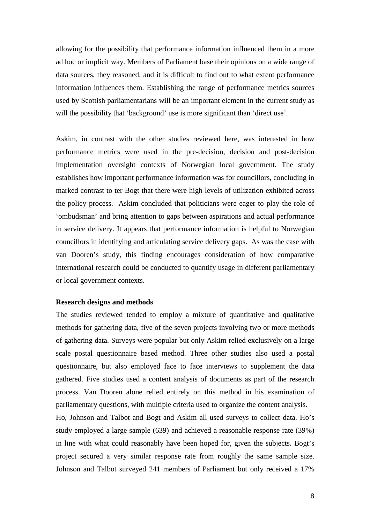allowing for the possibility that performance information influenced them in a more ad hoc or implicit way. Members of Parliament base their opinions on a wide range of data sources, they reasoned, and it is difficult to find out to what extent performance information influences them. Establishing the range of performance metrics sources used by Scottish parliamentarians will be an important element in the current study as will the possibility that 'background' use is more significant than 'direct use'.

Askim, in contrast with the other studies reviewed here, was interested in how performance metrics were used in the pre-decision, decision and post-decision implementation oversight contexts of Norwegian local government. The study establishes how important performance information was for councillors, concluding in marked contrast to ter Bogt that there were high levels of utilization exhibited across the policy process. Askim concluded that politicians were eager to play the role of 'ombudsman' and bring attention to gaps between aspirations and actual performance in service delivery. It appears that performance information is helpful to Norwegian councillors in identifying and articulating service delivery gaps. As was the case with van Dooren's study, this finding encourages consideration of how comparative international research could be conducted to quantify usage in different parliamentary or local government contexts.

#### **Research designs and methods**

The studies reviewed tended to employ a mixture of quantitative and qualitative methods for gathering data, five of the seven projects involving two or more methods of gathering data. Surveys were popular but only Askim relied exclusively on a large scale postal questionnaire based method. Three other studies also used a postal questionnaire, but also employed face to face interviews to supplement the data gathered. Five studies used a content analysis of documents as part of the research process. Van Dooren alone relied entirely on this method in his examination of parliamentary questions, with multiple criteria used to organize the content analysis.

Ho, Johnson and Talbot and Bogt and Askim all used surveys to collect data. Ho's study employed a large sample (639) and achieved a reasonable response rate (39%) in line with what could reasonably have been hoped for, given the subjects. Bogt's project secured a very similar response rate from roughly the same sample size. Johnson and Talbot surveyed 241 members of Parliament but only received a 17%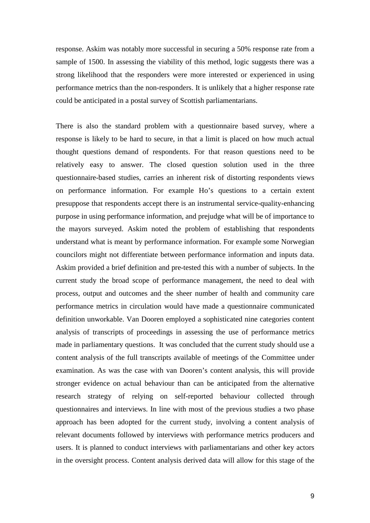response. Askim was notably more successful in securing a 50% response rate from a sample of 1500. In assessing the viability of this method, logic suggests there was a strong likelihood that the responders were more interested or experienced in using performance metrics than the non-responders. It is unlikely that a higher response rate could be anticipated in a postal survey of Scottish parliamentarians.

There is also the standard problem with a questionnaire based survey, where a response is likely to be hard to secure, in that a limit is placed on how much actual thought questions demand of respondents. For that reason questions need to be relatively easy to answer. The closed question solution used in the three questionnaire-based studies, carries an inherent risk of distorting respondents views on performance information. For example Ho's questions to a certain extent presuppose that respondents accept there is an instrumental service-quality-enhancing purpose in using performance information, and prejudge what will be of importance to the mayors surveyed. Askim noted the problem of establishing that respondents understand what is meant by performance information. For example some Norwegian councilors might not differentiate between performance information and inputs data. Askim provided a brief definition and pre-tested this with a number of subjects. In the current study the broad scope of performance management, the need to deal with process, output and outcomes and the sheer number of health and community care performance metrics in circulation would have made a questionnaire communicated definition unworkable. Van Dooren employed a sophisticated nine categories content analysis of transcripts of proceedings in assessing the use of performance metrics made in parliamentary questions. It was concluded that the current study should use a content analysis of the full transcripts available of meetings of the Committee under examination. As was the case with van Dooren's content analysis, this will provide stronger evidence on actual behaviour than can be anticipated from the alternative research strategy of relying on self-reported behaviour collected through questionnaires and interviews. In line with most of the previous studies a two phase approach has been adopted for the current study, involving a content analysis of relevant documents followed by interviews with performance metrics producers and users. It is planned to conduct interviews with parliamentarians and other key actors in the oversight process. Content analysis derived data will allow for this stage of the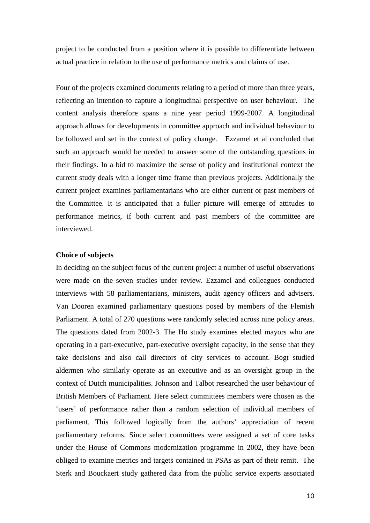project to be conducted from a position where it is possible to differentiate between actual practice in relation to the use of performance metrics and claims of use.

Four of the projects examined documents relating to a period of more than three years, reflecting an intention to capture a longitudinal perspective on user behaviour. The content analysis therefore spans a nine year period 1999-2007. A longitudinal approach allows for developments in committee approach and individual behaviour to be followed and set in the context of policy change. Ezzamel et al concluded that such an approach would be needed to answer some of the outstanding questions in their findings. In a bid to maximize the sense of policy and institutional context the current study deals with a longer time frame than previous projects. Additionally the current project examines parliamentarians who are either current or past members of the Committee. It is anticipated that a fuller picture will emerge of attitudes to performance metrics, if both current and past members of the committee are interviewed.

#### **Choice of subjects**

In deciding on the subject focus of the current project a number of useful observations were made on the seven studies under review. Ezzamel and colleagues conducted interviews with 58 parliamentarians, ministers, audit agency officers and advisers. Van Dooren examined parliamentary questions posed by members of the Flemish Parliament. A total of 270 questions were randomly selected across nine policy areas. The questions dated from 2002-3. The Ho study examines elected mayors who are operating in a part-executive, part-executive oversight capacity, in the sense that they take decisions and also call directors of city services to account. Bogt studied aldermen who similarly operate as an executive and as an oversight group in the context of Dutch municipalities. Johnson and Talbot researched the user behaviour of British Members of Parliament. Here select committees members were chosen as the 'users' of performance rather than a random selection of individual members of parliament. This followed logically from the authors' appreciation of recent parliamentary reforms. Since select committees were assigned a set of core tasks under the House of Commons modernization programme in 2002, they have been obliged to examine metrics and targets contained in PSAs as part of their remit. The Sterk and Bouckaert study gathered data from the public service experts associated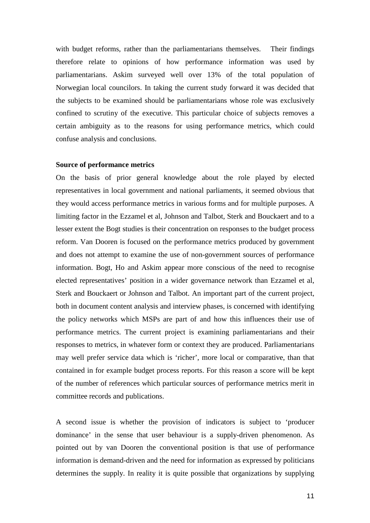with budget reforms, rather than the parliamentarians themselves. Their findings therefore relate to opinions of how performance information was used by parliamentarians. Askim surveyed well over 13% of the total population of Norwegian local councilors. In taking the current study forward it was decided that the subjects to be examined should be parliamentarians whose role was exclusively confined to scrutiny of the executive. This particular choice of subjects removes a certain ambiguity as to the reasons for using performance metrics, which could confuse analysis and conclusions.

#### **Source of performance metrics**

On the basis of prior general knowledge about the role played by elected representatives in local government and national parliaments, it seemed obvious that they would access performance metrics in various forms and for multiple purposes. A limiting factor in the Ezzamel et al, Johnson and Talbot, Sterk and Bouckaert and to a lesser extent the Bogt studies is their concentration on responses to the budget process reform. Van Dooren is focused on the performance metrics produced by government and does not attempt to examine the use of non-government sources of performance information. Bogt, Ho and Askim appear more conscious of the need to recognise elected representatives' position in a wider governance network than Ezzamel et al, Sterk and Bouckaert or Johnson and Talbot. An important part of the current project, both in document content analysis and interview phases, is concerned with identifying the policy networks which MSPs are part of and how this influences their use of performance metrics. The current project is examining parliamentarians and their responses to metrics, in whatever form or context they are produced. Parliamentarians may well prefer service data which is 'richer', more local or comparative, than that contained in for example budget process reports. For this reason a score will be kept of the number of references which particular sources of performance metrics merit in committee records and publications.

A second issue is whether the provision of indicators is subject to 'producer dominance' in the sense that user behaviour is a supply-driven phenomenon. As pointed out by van Dooren the conventional position is that use of performance information is demand-driven and the need for information as expressed by politicians determines the supply. In reality it is quite possible that organizations by supplying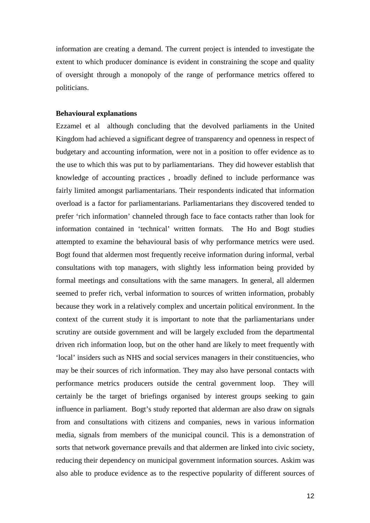information are creating a demand. The current project is intended to investigate the extent to which producer dominance is evident in constraining the scope and quality of oversight through a monopoly of the range of performance metrics offered to politicians.

#### **Behavioural explanations**

Ezzamel et al although concluding that the devolved parliaments in the United Kingdom had achieved a significant degree of transparency and openness in respect of budgetary and accounting information, were not in a position to offer evidence as to the use to which this was put to by parliamentarians. They did however establish that knowledge of accounting practices , broadly defined to include performance was fairly limited amongst parliamentarians. Their respondents indicated that information overload is a factor for parliamentarians. Parliamentarians they discovered tended to prefer 'rich information' channeled through face to face contacts rather than look for information contained in 'technical' written formats. The Ho and Bogt studies attempted to examine the behavioural basis of why performance metrics were used. Bogt found that aldermen most frequently receive information during informal, verbal consultations with top managers, with slightly less information being provided by formal meetings and consultations with the same managers. In general, all aldermen seemed to prefer rich, verbal information to sources of written information, probably because they work in a relatively complex and uncertain political environment. In the context of the current study it is important to note that the parliamentarians under scrutiny are outside government and will be largely excluded from the departmental driven rich information loop, but on the other hand are likely to meet frequently with 'local' insiders such as NHS and social services managers in their constituencies, who may be their sources of rich information. They may also have personal contacts with performance metrics producers outside the central government loop. They will certainly be the target of briefings organised by interest groups seeking to gain influence in parliament. Bogt's study reported that alderman are also draw on signals from and consultations with citizens and companies, news in various information media, signals from members of the municipal council. This is a demonstration of sorts that network governance prevails and that aldermen are linked into civic society, reducing their dependency on municipal government information sources. Askim was also able to produce evidence as to the respective popularity of different sources of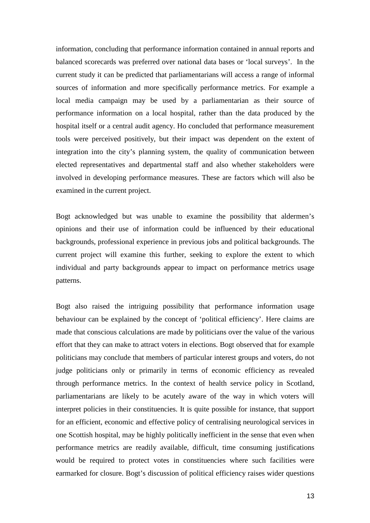information, concluding that performance information contained in annual reports and balanced scorecards was preferred over national data bases or 'local surveys'. In the current study it can be predicted that parliamentarians will access a range of informal sources of information and more specifically performance metrics. For example a local media campaign may be used by a parliamentarian as their source of performance information on a local hospital, rather than the data produced by the hospital itself or a central audit agency. Ho concluded that performance measurement tools were perceived positively, but their impact was dependent on the extent of integration into the city's planning system, the quality of communication between elected representatives and departmental staff and also whether stakeholders were involved in developing performance measures. These are factors which will also be examined in the current project.

Bogt acknowledged but was unable to examine the possibility that aldermen's opinions and their use of information could be influenced by their educational backgrounds, professional experience in previous jobs and political backgrounds. The current project will examine this further, seeking to explore the extent to which individual and party backgrounds appear to impact on performance metrics usage patterns.

Bogt also raised the intriguing possibility that performance information usage behaviour can be explained by the concept of 'political efficiency'. Here claims are made that conscious calculations are made by politicians over the value of the various effort that they can make to attract voters in elections. Bogt observed that for example politicians may conclude that members of particular interest groups and voters, do not judge politicians only or primarily in terms of economic efficiency as revealed through performance metrics. In the context of health service policy in Scotland, parliamentarians are likely to be acutely aware of the way in which voters will interpret policies in their constituencies. It is quite possible for instance, that support for an efficient, economic and effective policy of centralising neurological services in one Scottish hospital, may be highly politically inefficient in the sense that even when performance metrics are readily available, difficult, time consuming justifications would be required to protect votes in constituencies where such facilities were earmarked for closure. Bogt's discussion of political efficiency raises wider questions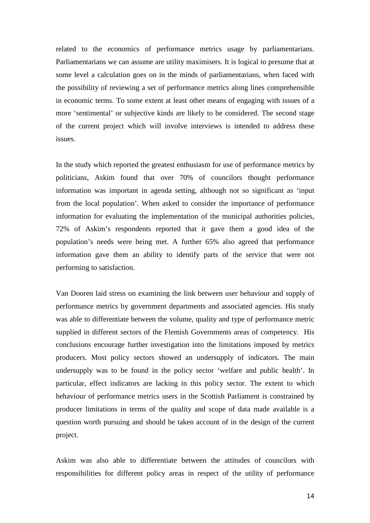related to the economics of performance metrics usage by parliamentarians. Parliamentarians we can assume are utility maximisers. It is logical to presume that at some level a calculation goes on in the minds of parliamentarians, when faced with the possibility of reviewing a set of performance metrics along lines comprehensible in economic terms. To some extent at least other means of engaging with issues of a more 'sentimental' or subjective kinds are likely to be considered. The second stage of the current project which will involve interviews is intended to address these issues.

In the study which reported the greatest enthusiasm for use of performance metrics by politicians, Askim found that over 70% of councilors thought performance information was important in agenda setting, although not so significant as 'input from the local population'. When asked to consider the importance of performance information for evaluating the implementation of the municipal authorities policies, 72% of Askim's respondents reported that it gave them a good idea of the population's needs were being met. A further 65% also agreed that performance information gave them an ability to identify parts of the service that were not performing to satisfaction.

Van Dooren laid stress on examining the link between user behaviour and supply of performance metrics by government departments and associated agencies. His study was able to differentiate between the volume, quality and type of performance metric supplied in different sectors of the Flemish Governments areas of competency. His conclusions encourage further investigation into the limitations imposed by metrics producers. Most policy sectors showed an undersupply of indicators. The main undersupply was to be found in the policy sector 'welfare and public health'. In particular, effect indicators are lacking in this policy sector. The extent to which behaviour of performance metrics users in the Scottish Parliament is constrained by producer limitations in terms of the quality and scope of data made available is a question worth pursuing and should be taken account of in the design of the current project.

Askim was also able to differentiate between the attitudes of councilors with responsibilities for different policy areas in respect of the utility of performance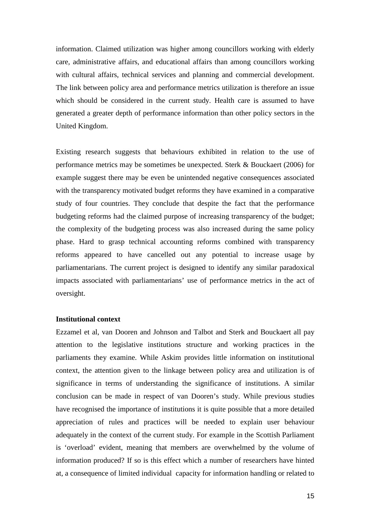information. Claimed utilization was higher among councillors working with elderly care, administrative affairs, and educational affairs than among councillors working with cultural affairs, technical services and planning and commercial development. The link between policy area and performance metrics utilization is therefore an issue which should be considered in the current study. Health care is assumed to have generated a greater depth of performance information than other policy sectors in the United Kingdom.

Existing research suggests that behaviours exhibited in relation to the use of performance metrics may be sometimes be unexpected. Sterk & Bouckaert (2006) for example suggest there may be even be unintended negative consequences associated with the transparency motivated budget reforms they have examined in a comparative study of four countries. They conclude that despite the fact that the performance budgeting reforms had the claimed purpose of increasing transparency of the budget; the complexity of the budgeting process was also increased during the same policy phase. Hard to grasp technical accounting reforms combined with transparency reforms appeared to have cancelled out any potential to increase usage by parliamentarians. The current project is designed to identify any similar paradoxical impacts associated with parliamentarians' use of performance metrics in the act of oversight.

#### **Institutional context**

Ezzamel et al, van Dooren and Johnson and Talbot and Sterk and Bouckaert all pay attention to the legislative institutions structure and working practices in the parliaments they examine. While Askim provides little information on institutional context, the attention given to the linkage between policy area and utilization is of significance in terms of understanding the significance of institutions. A similar conclusion can be made in respect of van Dooren's study. While previous studies have recognised the importance of institutions it is quite possible that a more detailed appreciation of rules and practices will be needed to explain user behaviour adequately in the context of the current study. For example in the Scottish Parliament is 'overload' evident, meaning that members are overwhelmed by the volume of information produced? If so is this effect which a number of researchers have hinted at, a consequence of limited individual capacity for information handling or related to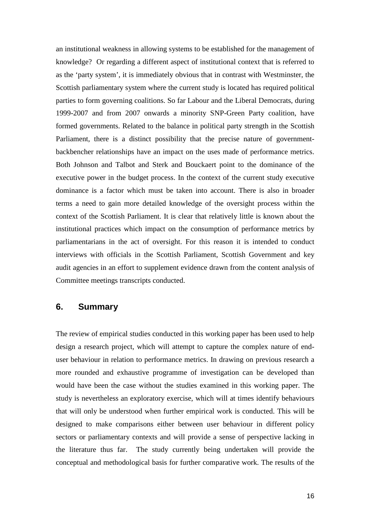an institutional weakness in allowing systems to be established for the management of knowledge? Or regarding a different aspect of institutional context that is referred to as the 'party system', it is immediately obvious that in contrast with Westminster, the Scottish parliamentary system where the current study is located has required political parties to form governing coalitions. So far Labour and the Liberal Democrats, during 1999-2007 and from 2007 onwards a minority SNP-Green Party coalition, have formed governments. Related to the balance in political party strength in the Scottish Parliament, there is a distinct possibility that the precise nature of governmentbackbencher relationships have an impact on the uses made of performance metrics. Both Johnson and Talbot and Sterk and Bouckaert point to the dominance of the executive power in the budget process. In the context of the current study executive dominance is a factor which must be taken into account. There is also in broader terms a need to gain more detailed knowledge of the oversight process within the context of the Scottish Parliament. It is clear that relatively little is known about the institutional practices which impact on the consumption of performance metrics by parliamentarians in the act of oversight. For this reason it is intended to conduct interviews with officials in the Scottish Parliament, Scottish Government and key audit agencies in an effort to supplement evidence drawn from the content analysis of Committee meetings transcripts conducted.

## **6. Summary**

The review of empirical studies conducted in this working paper has been used to help design a research project, which will attempt to capture the complex nature of enduser behaviour in relation to performance metrics. In drawing on previous research a more rounded and exhaustive programme of investigation can be developed than would have been the case without the studies examined in this working paper. The study is nevertheless an exploratory exercise, which will at times identify behaviours that will only be understood when further empirical work is conducted. This will be designed to make comparisons either between user behaviour in different policy sectors or parliamentary contexts and will provide a sense of perspective lacking in the literature thus far. The study currently being undertaken will provide the conceptual and methodological basis for further comparative work. The results of the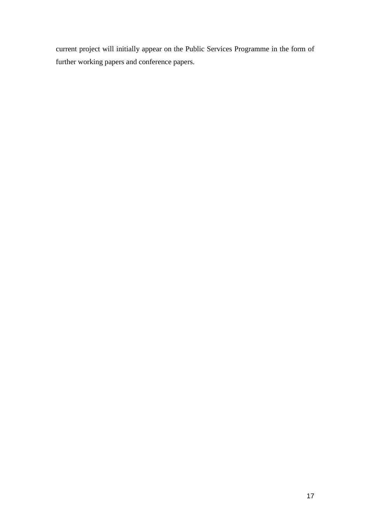current project will initially appear on the Public Services Programme in the form of further working papers and conference papers.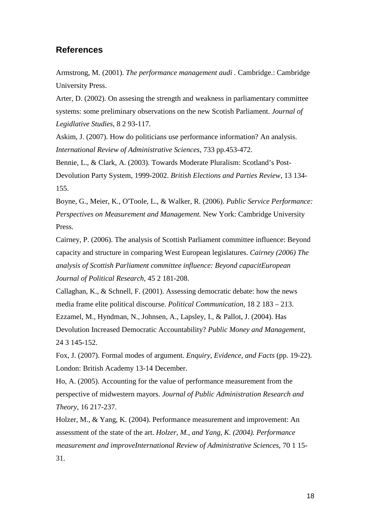## **References**

Armstrong, M. (2001). *The performance management audi .* Cambridge.: Cambridge University Press.

Arter, D. (2002). On assesing the strength and weakness in parliamentary committee systems: some preliminary observations on the new Scotish Parliament. *Journal of Legidlative Studies*, 8 2 93-117.

Askim, J. (2007). How do politicians use performance information? An analysis. *International Review of Administrative Sciences*, 733 pp.453-472.

Bennie, L., & Clark, A. (2003). Towards Moderate Pluralism: Scotland's Post-Devolution Party System, 1999-2002. *British Elections and Parties Review*, 13 134- 155.

Boyne, G., Meier, K., O'Toole, L., & Walker, R. (2006). *Public Service Performance: Perspectives on Measurement and Management.* New York: Cambridge University Press.

Cairney, P. (2006). The analysis of Scottish Parliament committee influence: Beyond capacity and structure in comparing West European legislatures. *Cairney (2006) The analysis of Scottish Parliament committee influence: Beyond capacitEuropean Journal of Political Research*, 45 2 181-208.

Callaghan, K., & Schnell, F. (2001). Assessing democratic debate: how the news media frame elite political discourse. *Political Communication*, 18 2 183 – 213. Ezzamel, M., Hyndman, N., Johnsen, A., Lapsley, I., & Pallot, J. (2004). Has Devolution Increased Democratic Accountability? *Public Money and Management*, 24 3 145-152.

Fox, J. (2007). Formal modes of argument. *Enquiry, Evidence, and Facts* (pp. 19-22). London: British Academy 13-14 December.

Ho, A. (2005). Accounting for the value of performance measurement from the perspective of midwestern mayors. *Journal of Public Administration Research and Theory*, 16 217-237.

Holzer, M., & Yang, K. (2004). Performance measurement and improvement: An assessment of the state of the art. *Holzer, M., and Yang, K. (2004). Performance measurement and improveInternational Review of Administrative Sciences*, 70 1 15- 31.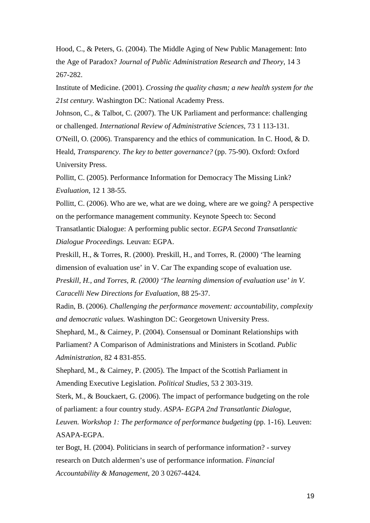Hood, C., & Peters, G. (2004). The Middle Aging of New Public Management: Into the Age of Paradox? *Journal of Public Administration Research and Theory*, 14 3 267-282.

Institute of Medicine. (2001). *Crossing the quality chasm; a new health system for the 21st century.* Washington DC: National Academy Press.

Johnson, C., & Talbot, C. (2007). The UK Parliament and performance: challenging or challenged. *International Review of Administrative Sciences*, 73 1 113-131.

O'Neill, O. (2006). Transparency and the ethics of communication. In C. Hood, & D. Heald, *Transparency. The key to better governance?* (pp. 75-90). Oxford: Oxford University Press.

Pollitt, C. (2005). Performance Information for Democracy The Missing Link? *Evaluation*, 12 1 38-55.

Pollitt, C. (2006). Who are we, what are we doing, where are we going? A perspective on the performance management community. Keynote Speech to: Second Transatlantic Dialogue: A performing public sector. *EGPA Second Transatlantic Dialogue Proceedings.* Leuvan: EGPA.

Preskill, H., & Torres, R. (2000). Preskill, H., and Torres, R. (2000) 'The learning dimension of evaluation use' in V. Car The expanding scope of evaluation use. *Preskill, H., and Torres, R. (2000) 'The learning dimension of evaluation use' in V. Caracelli New Directions for Evaluation*, 88 25-37.

Radin, B. (2006). *Challenging the performance movement: accountability, complexity and democratic values.* Washington DC: Georgetown University Press.

Shephard, M., & Cairney, P. (2004). Consensual or Dominant Relationships with Parliament? A Comparison of Administrations and Ministers in Scotland. *Public Administration*, 82 4 831-855.

Shephard, M., & Cairney, P. (2005). The Impact of the Scottish Parliament in Amending Executive Legislation. *Political Studies*, 53 2 303-319.

Sterk, M., & Bouckaert, G. (2006). The impact of performance budgeting on the role of parliament: a four country study. *ASPA- EGPA 2nd Transatlantic Dialogue,* 

*Leuven. Workshop 1: The performance of performance budgeting* (pp. 1-16). Leuven: ASAPA-EGPA.

ter Bogt, H. (2004). Politicians in search of performance information? - survey research on Dutch aldermen's use of performance information. *Financial Accountability & Management*, 20 3 0267-4424.